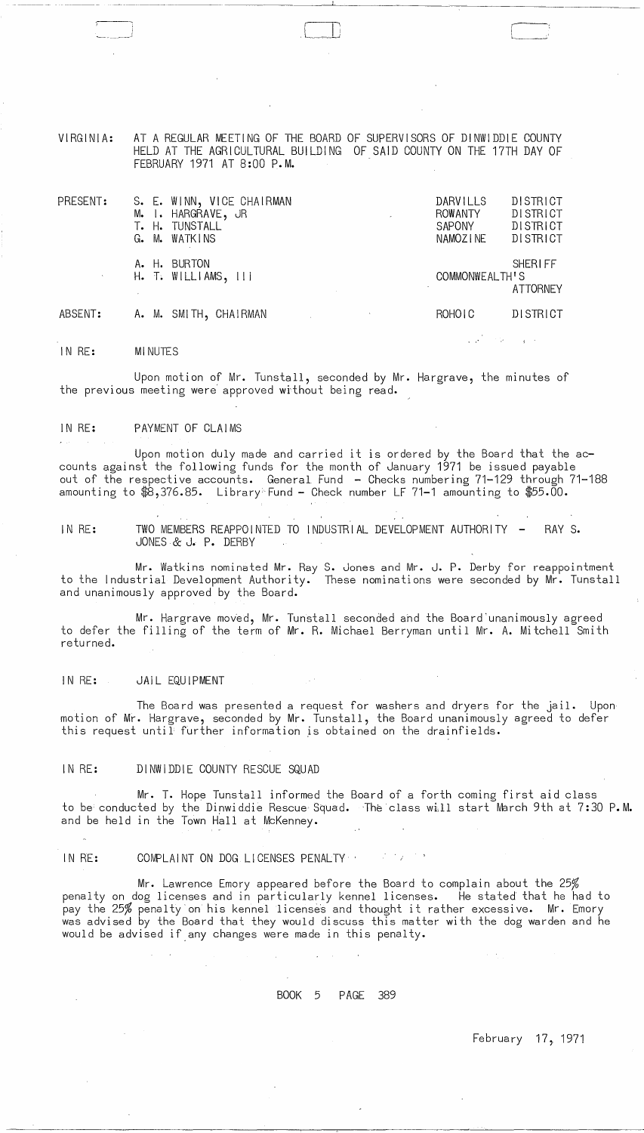VIRGINIA: AT A REGULAR MEETING OF THE BOARD OF SUPERVISORS OF DINWIDDIE COUNTY HELD AT THE AGRICULTURAL BUILDING OF SAID COUNTY ON THE 17TH DAY OF FEBRUARY 1971 AT 8:00 P.M.

r

 $\Box$ 

| PRESENT: | S. E. WINN, VICE CHAIRMAN<br>M. I. HARGRAVE, JR<br>T. H. TUNSTALL<br>G. M. WATKINS | DARVILLS<br><b>ROWANTY</b><br>$\sim$<br>SAPONY<br>NAMOZINE | DISTRICT<br><b>DISTRICT</b><br>DISTRICT<br>DISTRICT |
|----------|------------------------------------------------------------------------------------|------------------------------------------------------------|-----------------------------------------------------|
|          | A. H. BURTON<br>$H.$ T. WILLIAMS, $   $                                            | COMMONWEALTH'S                                             | <b>SHERIFF</b><br><b>ATTORNEY</b>                   |
| ABSENT:  | A. M. SMITH, CHAIRMAN                                                              | ROHOIC                                                     | <b>DISTRICT</b>                                     |

IN RE: MINUTES

'--, i

Upon motion of Mr. Tunstall, seconded by Mr. Hargrave, the minutes of the previous meeting were approved without being read.

#### IN RE: PAYMENT OF CLAIMS

Upon motion duly made and carried it is ordered by the Board that the accounts against the following funds for the month of January 1971 be issued payable out of the respective accounts. General Fund - Checks numbering 71-129 through 71-188 amounting to \$8,376.85. Library<sup>®</sup> Fund - Check number LF 71-1 amounting to \$55.00.

IN RE: TWO MEMBERS REAPPOINTED TO INDUSTRIAL DEVELOPMENT AUTHORITY - RAY S. JONES & J. P. DERBY

Mr. Watkins nominated Mr. Ray S. Jones and Mr. J. P. Derby for reappointment to the Industrial Development Authority. These nominations were seconded by Mr. Tunstall and unanimously approved by the Board.

Mr. Hargrave moved, Mr. Tunstall seconded and the Board 'unanimously agreed to defer the filling of the term of Mr. R. Michael Berryman until Mr. A. Mitchell Smith returned.

#### IN RE: JAIL EQUIPMENT

The Board was presented a request for washers and dryers for the jail. Upon motion of Mr. Hargrave, seconded by Mr. Tunstall, the Board unanimously agreed to defer this request until further information js obtained on the drainfields.

### IN RE: DINWIDDIE COUNTY RESCUE SQUAD

Mr. T. Hope Tunstall informed the Board of a forth coming first aid class to be conducted by the Dinwiddie Rescue Squad. The class will start March 9th at 7:30 P.M. and be held in the Town Hall at McKenney.

### IN RE: COMPLAINT ON DOG LICENSES PENALTY

Mr. Lawrence Emory appeared before the Board to complain about the 25% penalty on dog licenses and in particularly kennel licenses. He stated that he had to pay the 25% penalty on his kennel licenses and thought it rather excessive. Mr. Emory was advised by the Board that they would discuss this matter with the dog warden and he would be advised if any changes were made in this penalty.

## BOOK 5 PAGE 389

 $\sim$   $\sim$ 

February 17, 1971